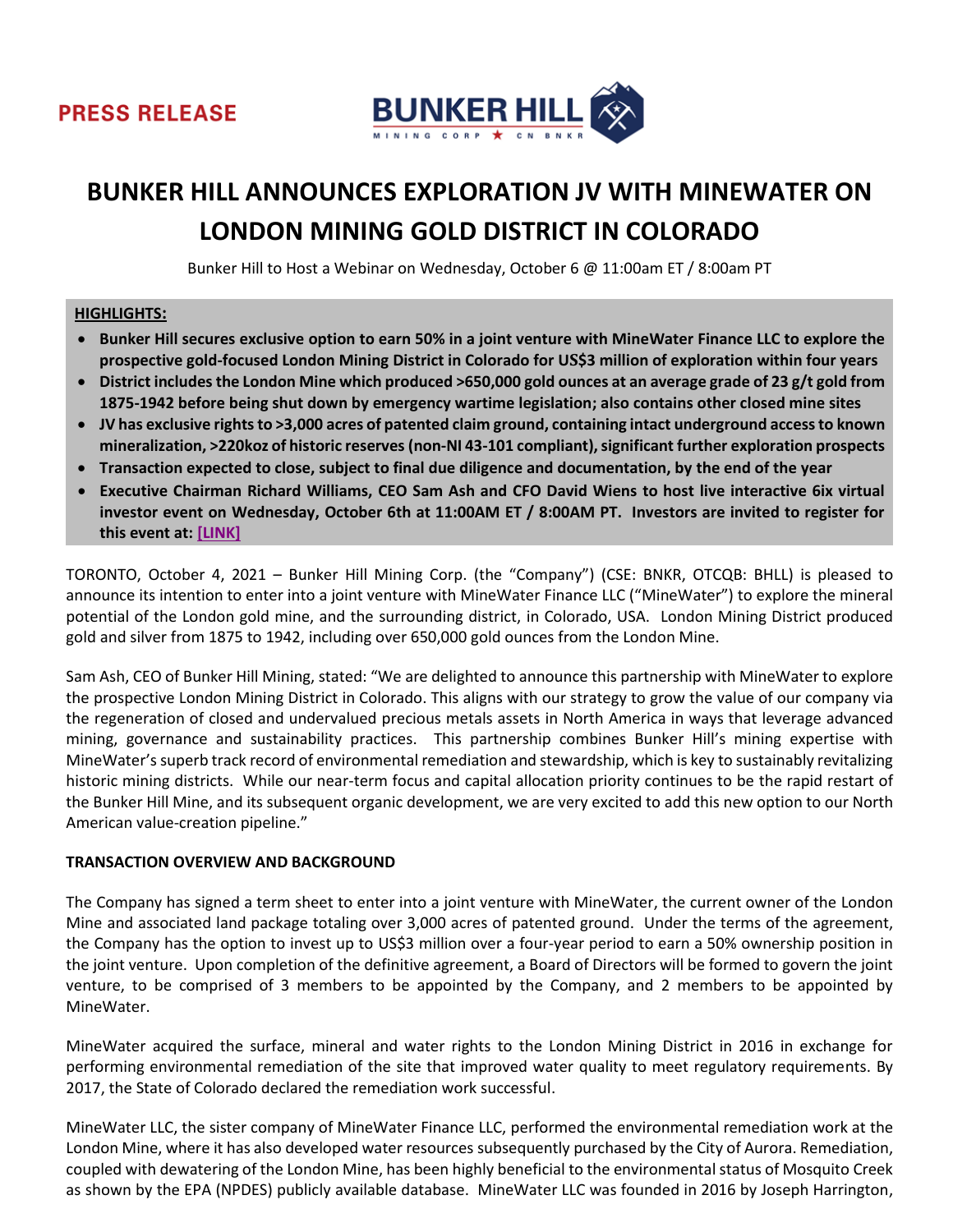



# **BUNKER HILL ANNOUNCES EXPLORATION JV WITH MINEWATER ON LONDON MINING GOLD DISTRICT IN COLORADO**

Bunker Hill to Host a Webinar on Wednesday, October 6 @ 11:00am ET / 8:00am PT

## **HIGHLIGHTS:**

- **Bunker Hill secures exclusive option to earn 50% in a joint venture with MineWater Finance LLC to explore the prospective gold-focused London Mining District in Colorado for US\$3 million of exploration within four years**
- **District includesthe London Mine which produced >650,000 gold ounces at an average grade of 23 g/t gold from 1875-1942 before being shut down by emergency wartime legislation; also contains other closed mine sites**
- **JV has exclusive rights to >3,000 acres of patented claim ground, containing intact underground access to known mineralization, >220koz of historic reserves (non-NI 43-101 compliant), significant further exploration prospects**
- **Transaction expected to close, subject to final due diligence and documentation, by the end of the year**
- **Executive Chairman Richard Williams, CEO Sam Ash and CFO David Wiens to host live interactive 6ix virtual investor event on Wednesday, October 6th at 11:00AM ET / 8:00AM PT. Investors are invited to register for this event at[: \[LINK\]](https://my.6ix.com/1mFbU1K2)**

TORONTO, October 4, 2021 – Bunker Hill Mining Corp. (the "Company") (CSE: BNKR, OTCQB: BHLL) is pleased to announce its intention to enter into a joint venture with MineWater Finance LLC ("MineWater") to explore the mineral potential of the London gold mine, and the surrounding district, in Colorado, USA. London Mining District produced gold and silver from 1875 to 1942, including over 650,000 gold ounces from the London Mine.

Sam Ash, CEO of Bunker Hill Mining, stated: "We are delighted to announce this partnership with MineWater to explore the prospective London Mining District in Colorado. This aligns with our strategy to grow the value of our company via the regeneration of closed and undervalued precious metals assets in North America in ways that leverage advanced mining, governance and sustainability practices. This partnership combines Bunker Hill's mining expertise with MineWater'ssuperb track record of environmental remediation and stewardship, which is key to sustainably revitalizing historic mining districts. While our near-term focus and capital allocation priority continues to be the rapid restart of the Bunker Hill Mine, and its subsequent organic development, we are very excited to add this new option to our North American value-creation pipeline."

#### **TRANSACTION OVERVIEW AND BACKGROUND**

The Company has signed a term sheet to enter into a joint venture with MineWater, the current owner of the London Mine and associated land package totaling over 3,000 acres of patented ground. Under the terms of the agreement, the Company has the option to invest up to US\$3 million over a four-year period to earn a 50% ownership position in the joint venture. Upon completion of the definitive agreement, a Board of Directors will be formed to govern the joint venture, to be comprised of 3 members to be appointed by the Company, and 2 members to be appointed by MineWater.

MineWater acquired the surface, mineral and water rights to the London Mining District in 2016 in exchange for performing environmental remediation of the site that improved water quality to meet regulatory requirements. By 2017, the State of Colorado declared the remediation work successful.

MineWater LLC, the sister company of MineWater Finance LLC, performed the environmental remediation work at the London Mine, where it has also developed water resources subsequently purchased by the City of Aurora. Remediation, coupled with dewatering of the London Mine, has been highly beneficial to the environmental status of Mosquito Creek as shown by the EPA (NPDES) publicly available database. MineWater LLC was founded in 2016 by Joseph Harrington,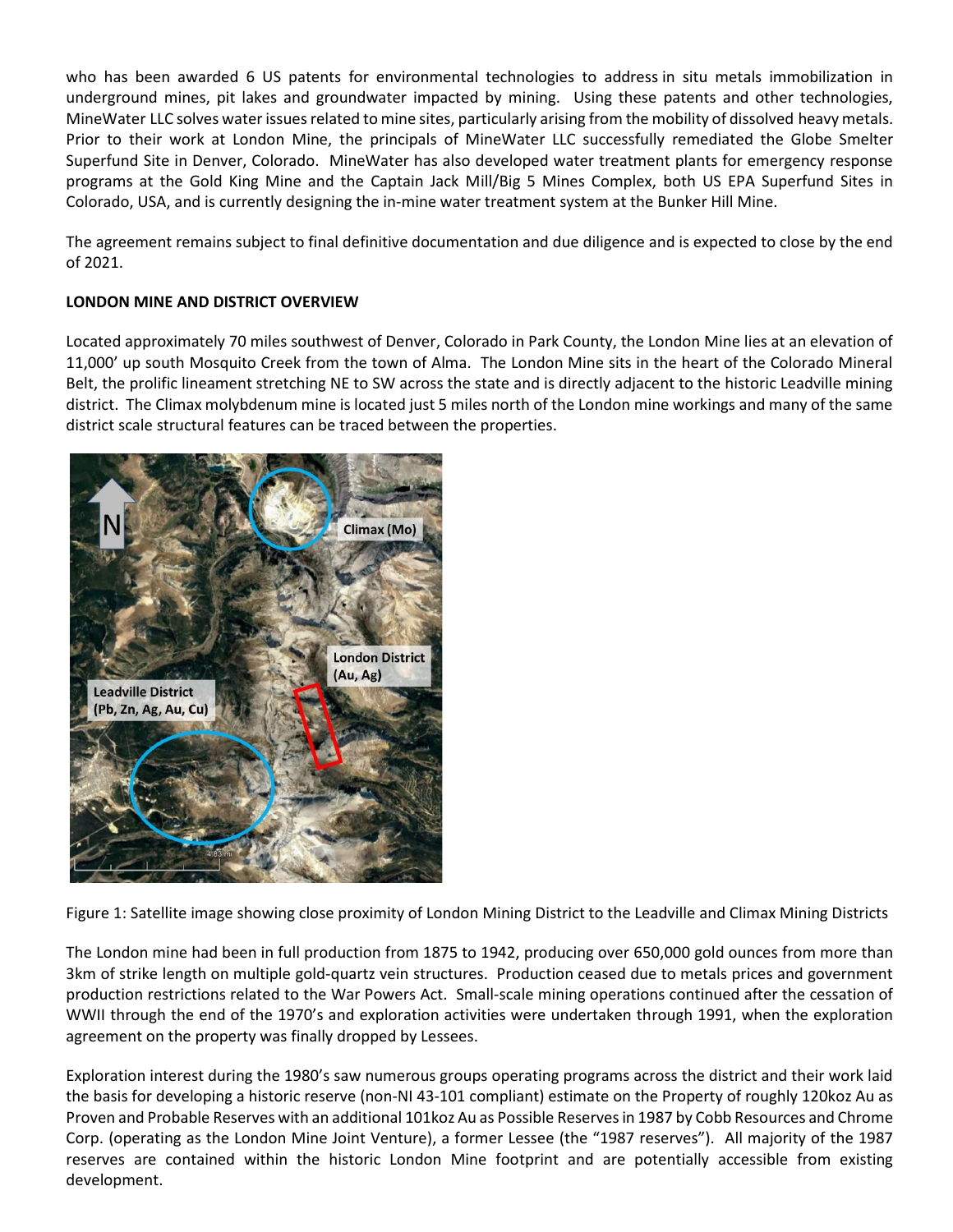who has been awarded 6 US patents for environmental technologies to address in situ metals immobilization in underground mines, pit lakes and groundwater impacted by mining. Using these patents and other technologies, MineWater LLC solves water issues related to mine sites, particularly arising from the mobility of dissolved heavy metals. Prior to their work at London Mine, the principals of MineWater LLC successfully remediated the Globe Smelter Superfund Site in Denver, Colorado. MineWater has also developed water treatment plants for emergency response programs at the Gold King Mine and the Captain Jack Mill/Big 5 Mines Complex, both US EPA Superfund Sites in Colorado, USA, and is currently designing the in-mine water treatment system at the Bunker Hill Mine.

The agreement remains subject to final definitive documentation and due diligence and is expected to close by the end of 2021.

# **LONDON MINE AND DISTRICT OVERVIEW**

Located approximately 70 miles southwest of Denver, Colorado in Park County, the London Mine lies at an elevation of 11,000' up south Mosquito Creek from the town of Alma. The London Mine sits in the heart of the Colorado Mineral Belt, the prolific lineament stretching NE to SW across the state and is directly adjacent to the historic Leadville mining district. The Climax molybdenum mine is located just 5 miles north of the London mine workings and many of the same district scale structural features can be traced between the properties.



Figure 1: Satellite image showing close proximity of London Mining District to the Leadville and Climax Mining Districts

The London mine had been in full production from 1875 to 1942, producing over 650,000 gold ounces from more than 3km of strike length on multiple gold-quartz vein structures. Production ceased due to metals prices and government production restrictions related to the War Powers Act. Small-scale mining operations continued after the cessation of WWII through the end of the 1970's and exploration activities were undertaken through 1991, when the exploration agreement on the property was finally dropped by Lessees.

Exploration interest during the 1980's saw numerous groups operating programs across the district and their work laid the basis for developing a historic reserve (non-NI 43-101 compliant) estimate on the Property of roughly 120koz Au as Proven and Probable Reserves with an additional 101koz Au as Possible Reservesin 1987 by Cobb Resources and Chrome Corp. (operating as the London Mine Joint Venture), a former Lessee (the "1987 reserves"). All majority of the 1987 reserves are contained within the historic London Mine footprint and are potentially accessible from existing development.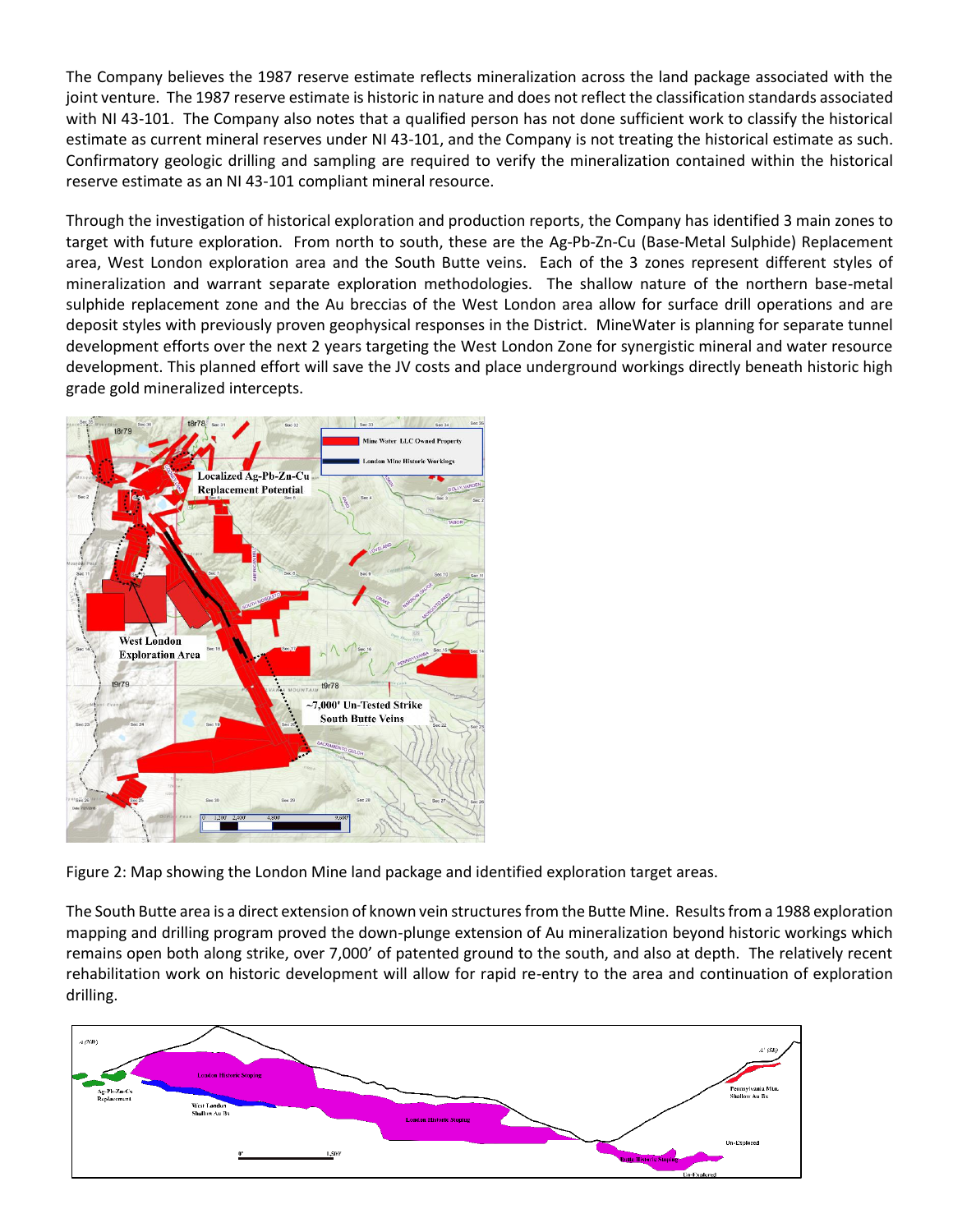The Company believes the 1987 reserve estimate reflects mineralization across the land package associated with the joint venture. The 1987 reserve estimate is historic in nature and does not reflect the classification standards associated with NI 43-101. The Company also notes that a qualified person has not done sufficient work to classify the historical estimate as current mineral reserves under NI 43-101, and the Company is not treating the historical estimate as such. Confirmatory geologic drilling and sampling are required to verify the mineralization contained within the historical reserve estimate as an NI 43-101 compliant mineral resource.

Through the investigation of historical exploration and production reports, the Company has identified 3 main zones to target with future exploration. From north to south, these are the Ag-Pb-Zn-Cu (Base-Metal Sulphide) Replacement area, West London exploration area and the South Butte veins. Each of the 3 zones represent different styles of mineralization and warrant separate exploration methodologies. The shallow nature of the northern base-metal sulphide replacement zone and the Au breccias of the West London area allow for surface drill operations and are deposit styles with previously proven geophysical responses in the District. MineWater is planning for separate tunnel development efforts over the next 2 years targeting the West London Zone for synergistic mineral and water resource development. This planned effort will save the JV costs and place underground workings directly beneath historic high grade gold mineralized intercepts.



Figure 2: Map showing the London Mine land package and identified exploration target areas.

The South Butte area is a direct extension of known vein structures from the Butte Mine. Results from a 1988 exploration mapping and drilling program proved the down-plunge extension of Au mineralization beyond historic workings which remains open both along strike, over 7,000' of patented ground to the south, and also at depth. The relatively recent rehabilitation work on historic development will allow for rapid re-entry to the area and continuation of exploration drilling.

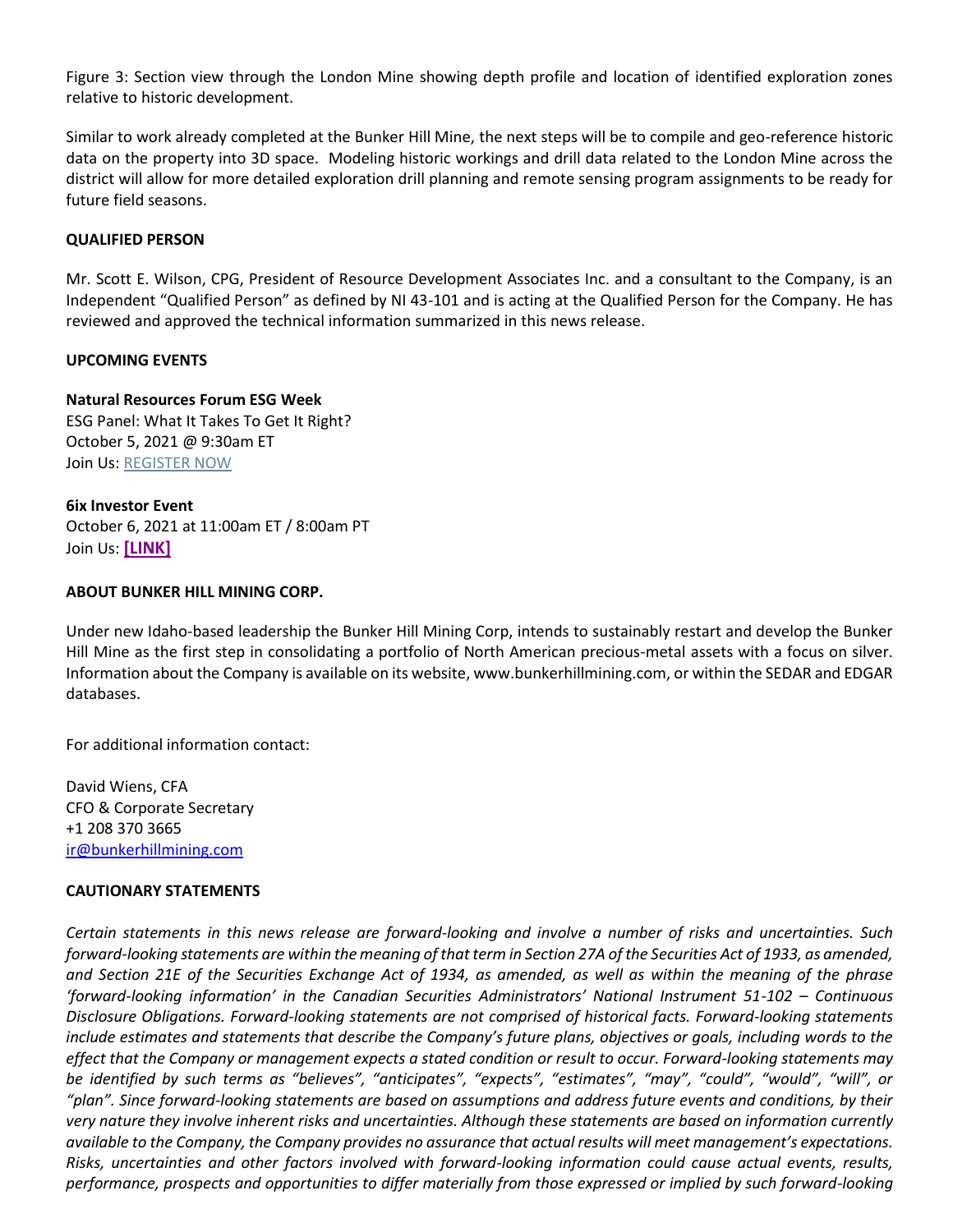Figure 3: Section view through the London Mine showing depth profile and location of identified exploration zones relative to historic development.

Similar to work already completed at the Bunker Hill Mine, the next steps will be to compile and geo-reference historic data on the property into 3D space. Modeling historic workings and drill data related to the London Mine across the district will allow for more detailed exploration drill planning and remote sensing program assignments to be ready for future field seasons.

### **QUALIFIED PERSON**

Mr. Scott E. Wilson, CPG, President of Resource Development Associates Inc. and a consultant to the Company, is an Independent "Qualified Person" as defined by NI 43-101 and is acting at the Qualified Person for the Company. He has reviewed and approved the technical information summarized in this news release.

### **UPCOMING EVENTS**

### **Natural Resources Forum ESG Week**

ESG Panel: What It Takes To Get It Right? October 5, 2021 @ 9:30am ET Join Us: [REGISTER NOW](https://naturalresourcesforum.com/events/event/esg-challenges-2021/)

**6ix Investor Event** October 6, 2021 at 11:00am ET / 8:00am PT Join Us: **[\[LINK\]](https://my.6ix.com/1mFbU1K2)**

### **ABOUT BUNKER HILL MINING CORP.**

Under new Idaho-based leadership the Bunker Hill Mining Corp, intends to sustainably restart and develop the Bunker Hill Mine as the first step in consolidating a portfolio of North American precious-metal assets with a focus on silver. Information about the Company is available on its website, www.bunkerhillmining.com, or within the SEDAR and EDGAR databases.

For additional information contact:

David Wiens, CFA CFO & Corporate Secretary +1 208 370 3665 [ir@bunkerhillmining.com](mailto:ir@bunkerhillmining.com)

#### **CAUTIONARY STATEMENTS**

*Certain statements in this news release are forward-looking and involve a number of risks and uncertainties. Such forward-looking statements are within the meaning of that term in Section 27A of the Securities Act of 1933, as amended, and Section 21E of the Securities Exchange Act of 1934, as amended, as well as within the meaning of the phrase 'forward-looking information' in the Canadian Securities Administrators' National Instrument 51-102 – Continuous Disclosure Obligations. Forward-looking statements are not comprised of historical facts. Forward-looking statements include estimates and statements that describe the Company's future plans, objectives or goals, including words to the effect that the Company or management expects a stated condition or result to occur. Forward-looking statements may be identified by such terms as "believes", "anticipates", "expects", "estimates", "may", "could", "would", "will", or "plan". Since forward-looking statements are based on assumptions and address future events and conditions, by their very nature they involve inherent risks and uncertainties. Although these statements are based on information currently available to the Company, the Company provides no assurance that actual results will meet management's expectations. Risks, uncertainties and other factors involved with forward-looking information could cause actual events, results, performance, prospects and opportunities to differ materially from those expressed or implied by such forward-looking*